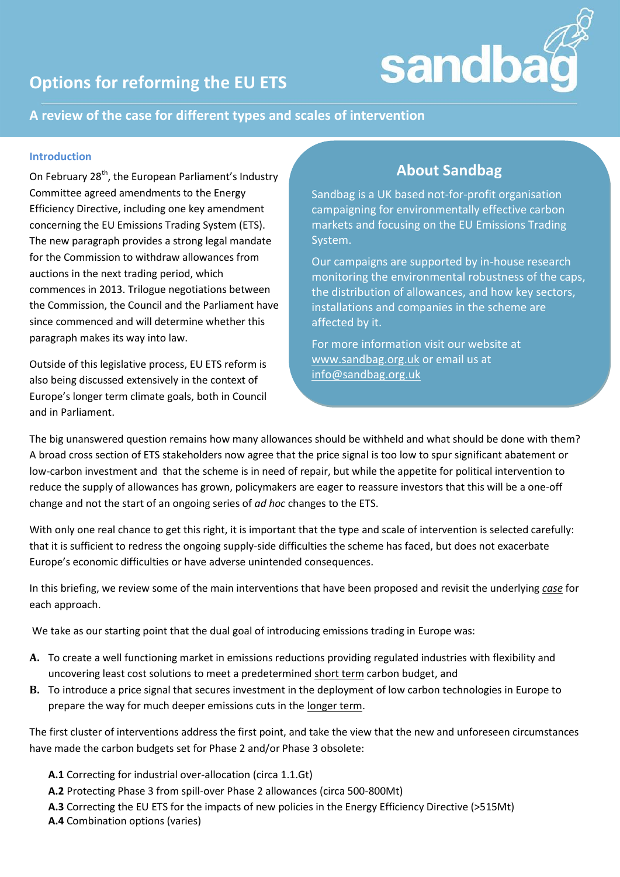

# **Options for reforming the EU ETS**

## **A review of the case for different types and scales of intervention**

#### **Introduction**

On February 28<sup>th</sup>, the European Parliament's Industry Committee agreed amendments to the Energy Efficiency Directive, including one key amendment concerning the EU Emissions Trading System (ETS). The new paragraph provides a strong legal mandate for the Commission to withdraw allowances from auctions in the next trading period, which commences in 2013. Trilogue negotiations between the Commission, the Council and the Parliament have since commenced and will determine whether this paragraph makes its way into law.

Outside of this legislative process, EU ETS reform is also being discussed extensively in the context of Europe's longer term climate goals, both in Council and in Parliament.

## **About Sandbag**

Sandbag is a UK based not-for-profit organisation campaigning for environmentally effective carbon markets and focusing on the EU Emissions Trading System.

Our campaigns are supported by in-house research monitoring the environmental robustness of the caps, the distribution of allowances, and how key sectors, installations and companies in the scheme are affected by it.

For more information visit our website at [www.sandbag.org.uk](http://www.sandbag.org.uk/) or email us at [info@sandbag.org.uk](mailto:info@sandbag.org.uk)

The big unanswered question remains how many allowances should be withheld and what should be done with them? A broad cross section of ETS stakeholders now agree that the price signal is too low to spur significant abatement or low-carbon investment and that the scheme is in need of repair, but while the appetite for political intervention to reduce the supply of allowances has grown, policymakers are eager to reassure investors that this will be a one-off change and not the start of an ongoing series of *ad hoc* changes to the ETS.

With only one real chance to get this right, it is important that the type and scale of intervention is selected carefully: that it is sufficient to redress the ongoing supply-side difficulties the scheme has faced, but does not exacerbate Europe's economic difficulties or have adverse unintended consequences.

In this briefing, we review some of the main interventions that have been proposed and revisit the underlying *case* for each approach.

We take as our starting point that the dual goal of introducing emissions trading in Europe was:

- **A.** To create a well functioning market in emissions reductions providing regulated industries with flexibility and uncovering least cost solutions to meet a predetermined short term carbon budget, and
- **B.** To introduce a price signal that secures investment in the deployment of low carbon technologies in Europe to prepare the way for much deeper emissions cuts in the longer term.

The first cluster of interventions address the first point, and take the view that the new and unforeseen circumstances have made the carbon budgets set for Phase 2 and/or Phase 3 obsolete:

- **A.1** Correcting for industrial over-allocation (circa 1.1.Gt)
- **A.2** Protecting Phase 3 from spill-over Phase 2 allowances (circa 500-800Mt)
- **A.3** Correcting the EU ETS for the impacts of new policies in the Energy Efficiency Directive (>515Mt)
- **A.4** Combination options (varies)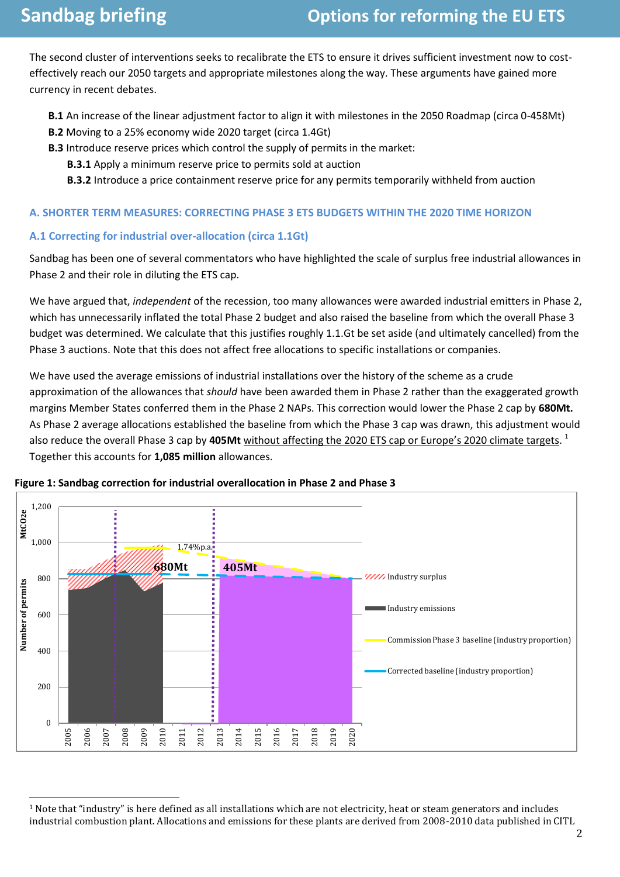$\overline{\phantom{0}}$ 

The second cluster of interventions seeks to recalibrate the ETS to ensure it drives sufficient investment now to costeffectively reach our 2050 targets and appropriate milestones along the way. These arguments have gained more currency in recent debates.

**B.1** An increase of the linear adjustment factor to align it with milestones in the 2050 Roadmap (circa 0-458Mt)

- **B.2** Moving to a 25% economy wide 2020 target (circa 1.4Gt)
- **B.3** Introduce reserve prices which control the supply of permits in the market:
	- **B.3.1** Apply a minimum reserve price to permits sold at auction
	- **B.3.2** Introduce a price containment reserve price for any permits temporarily withheld from auction

#### **A. SHORTER TERM MEASURES: CORRECTING PHASE 3 ETS BUDGETS WITHIN THE 2020 TIME HORIZON**

#### **A.1 Correcting for industrial over-allocation (circa 1.1Gt)**

Sandbag has been one of several commentators who have highlighted the scale of surplus free industrial allowances in Phase 2 and their role in diluting the ETS cap.

We have argued that, *independent* of the recession, too many allowances were awarded industrial emitters in Phase 2, which has unnecessarily inflated the total Phase 2 budget and also raised the baseline from which the overall Phase 3 budget was determined. We calculate that this justifies roughly 1.1.Gt be set aside (and ultimately cancelled) from the Phase 3 auctions. Note that this does not affect free allocations to specific installations or companies.

We have used the average emissions of industrial installations over the history of the scheme as a crude approximation of the allowances that *should* have been awarded them in Phase 2 rather than the exaggerated growth margins Member States conferred them in the Phase 2 NAPs. This correction would lower the Phase 2 cap by **680Mt.** As Phase 2 average allocations established the baseline from which the Phase 3 cap was drawn, this adjustment would also reduce the overall Phase 3 cap by **405Mt** without affecting the 2020 ETS cap or Europe's 2020 climate targets. 1 Together this accounts for **1,085 million** allowances.



**Figure 1: Sandbag correction for industrial overallocation in Phase 2 and Phase 3**

<sup>&</sup>lt;sup>1</sup> Note that "industry" is here defined as all installations which are not electricity, heat or steam generators and includes industrial combustion plant. Allocations and emissions for these plants are derived from 2008-2010 data published in CITL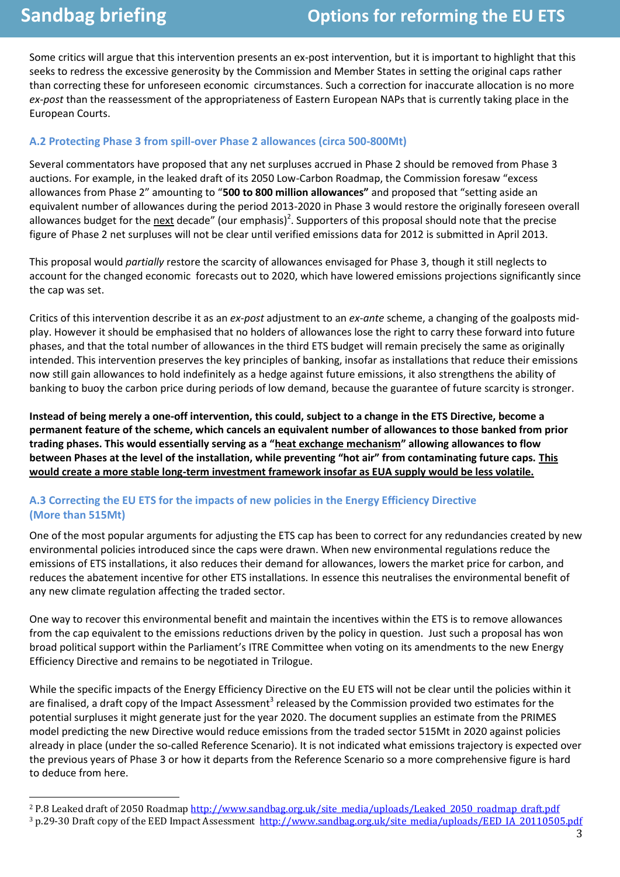$\overline{\phantom{0}}$ 

Some critics will argue that this intervention presents an ex-post intervention, but it is important to highlight that this seeks to redress the excessive generosity by the Commission and Member States in setting the original caps rather than correcting these for unforeseen economic circumstances. Such a correction for inaccurate allocation is no more *ex-post* than the reassessment of the appropriateness of Eastern European NAPs that is currently taking place in the European Courts.

### **A.2 Protecting Phase 3 from spill-over Phase 2 allowances (circa 500-800Mt)**

Several commentators have proposed that any net surpluses accrued in Phase 2 should be removed from Phase 3 auctions. For example, in the leaked draft of its 2050 Low-Carbon Roadmap, the Commission foresaw "excess allowances from Phase 2" amounting to "**500 to 800 million allowances"** and proposed that "setting aside an equivalent number of allowances during the period 2013-2020 in Phase 3 would restore the originally foreseen overall allowances budget for the <u>next</u> decade" (our emphasis)<sup>2</sup>. Supporters of this proposal should note that the precise figure of Phase 2 net surpluses will not be clear until verified emissions data for 2012 is submitted in April 2013.

This proposal would *partially* restore the scarcity of allowances envisaged for Phase 3, though it still neglects to account for the changed economic forecasts out to 2020, which have lowered emissions projections significantly since the cap was set.

Critics of this intervention describe it as an *ex-post* adjustment to an *ex-ante* scheme, a changing of the goalposts midplay. However it should be emphasised that no holders of allowances lose the right to carry these forward into future phases, and that the total number of allowances in the third ETS budget will remain precisely the same as originally intended. This intervention preserves the key principles of banking, insofar as installations that reduce their emissions now still gain allowances to hold indefinitely as a hedge against future emissions, it also strengthens the ability of banking to buoy the carbon price during periods of low demand, because the guarantee of future scarcity is stronger.

**Instead of being merely a one-off intervention, this could, subject to a change in the ETS Directive, become a permanent feature of the scheme, which cancels an equivalent number of allowances to those banked from prior trading phases. This would essentially serving as a "heat exchange mechanism" allowing allowances to flow between Phases at the level of the installation, while preventing "hot air" from contaminating future caps. This would create a more stable long-term investment framework insofar as EUA supply would be less volatile.**

### **A.3 Correcting the EU ETS for the impacts of new policies in the Energy Efficiency Directive (More than 515Mt)**

One of the most popular arguments for adjusting the ETS cap has been to correct for any redundancies created by new environmental policies introduced since the caps were drawn. When new environmental regulations reduce the emissions of ETS installations, it also reduces their demand for allowances, lowers the market price for carbon, and reduces the abatement incentive for other ETS installations. In essence this neutralises the environmental benefit of any new climate regulation affecting the traded sector.

One way to recover this environmental benefit and maintain the incentives within the ETS is to remove allowances from the cap equivalent to the emissions reductions driven by the policy in question. Just such a proposal has won broad political support within the Parliament's ITRE Committee when voting on its amendments to the new Energy Efficiency Directive and remains to be negotiated in Trilogue.

While the specific impacts of the Energy Efficiency Directive on the EU ETS will not be clear until the policies within it are finalised, a draft copy of the Impact Assessment<sup>3</sup> released by the Commission provided two estimates for the potential surpluses it might generate just for the year 2020. The document supplies an estimate from the PRIMES model predicting the new Directive would reduce emissions from the traded sector 515Mt in 2020 against policies already in place (under the so-called Reference Scenario). It is not indicated what emissions trajectory is expected over the previous years of Phase 3 or how it departs from the Reference Scenario so a more comprehensive figure is hard to deduce from here.

<sup>&</sup>lt;sup>2</sup> P.8 Leaked draft of 2050 Roadma[p http://www.sandbag.org.uk/site\\_media/uploads/Leaked\\_2050\\_roadmap\\_draft.pdf](http://www.sandbag.org.uk/site_media/uploads/Leaked_2050_roadmap_draft.pdf)

<sup>&</sup>lt;sup>3</sup> p.29-30 Draft copy of the EED Impact Assessment [http://www.sandbag.org.uk/site\\_media/uploads/EED\\_IA\\_20110505.pdf](http://www.sandbag.org.uk/site_media/uploads/EED_IA_20110505.pdf)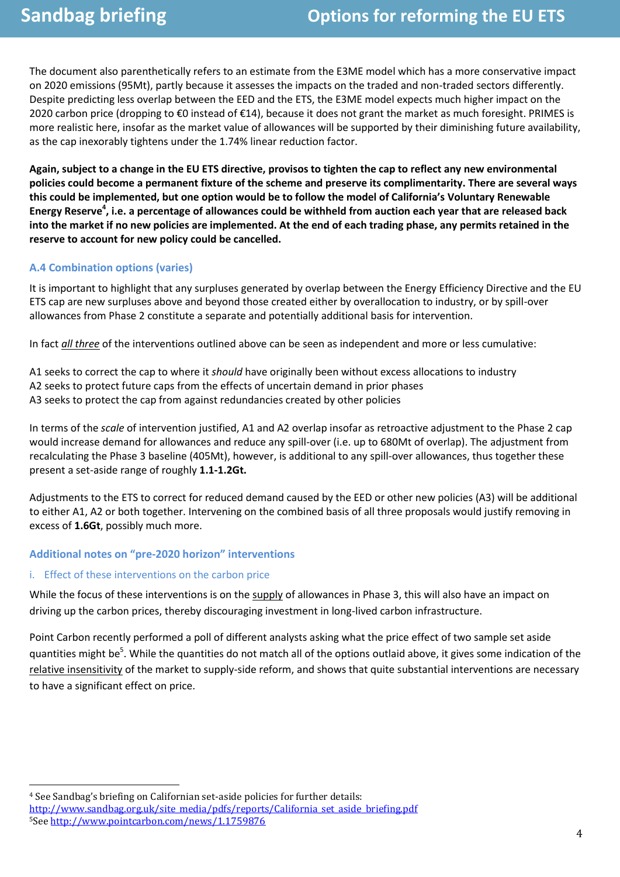The document also parenthetically refers to an estimate from the E3ME model which has a more conservative impact on 2020 emissions (95Mt), partly because it assesses the impacts on the traded and non-traded sectors differently. Despite predicting less overlap between the EED and the ETS, the E3ME model expects much higher impact on the 2020 carbon price (dropping to  $\epsilon$ 0 instead of  $\epsilon$ 14), because it does not grant the market as much foresight. PRIMES is more realistic here, insofar as the market value of allowances will be supported by their diminishing future availability, as the cap inexorably tightens under the 1.74% linear reduction factor.

**Again, subject to a change in the EU ETS directive, provisos to tighten the cap to reflect any new environmental policies could become a permanent fixture of the scheme and preserve its complimentarity. There are several ways this could be implemented, but one option would be to follow the model of California's Voluntary Renewable Energy Reserve<sup>4</sup> , i.e. a percentage of allowances could be withheld from auction each year that are released back into the market if no new policies are implemented. At the end of each trading phase, any permits retained in the reserve to account for new policy could be cancelled.**

#### **A.4 Combination options (varies)**

It is important to highlight that any surpluses generated by overlap between the Energy Efficiency Directive and the EU ETS cap are new surpluses above and beyond those created either by overallocation to industry, or by spill-over allowances from Phase 2 constitute a separate and potentially additional basis for intervention.

In fact *all three* of the interventions outlined above can be seen as independent and more or less cumulative:

A1 seeks to correct the cap to where it *should* have originally been without excess allocations to industry A2 seeks to protect future caps from the effects of uncertain demand in prior phases A3 seeks to protect the cap from against redundancies created by other policies

In terms of the *scale* of intervention justified, A1 and A2 overlap insofar as retroactive adjustment to the Phase 2 cap would increase demand for allowances and reduce any spill-over (i.e. up to 680Mt of overlap). The adjustment from recalculating the Phase 3 baseline (405Mt), however, is additional to any spill-over allowances, thus together these present a set-aside range of roughly **1.1-1.2Gt.**

Adjustments to the ETS to correct for reduced demand caused by the EED or other new policies (A3) will be additional to either A1, A2 or both together. Intervening on the combined basis of all three proposals would justify removing in excess of **1.6Gt**, possibly much more.

#### **Additional notes on "pre-2020 horizon" interventions**

#### i. Effect of these interventions on the carbon price

 $\overline{\phantom{0}}$ 

While the focus of these interventions is on the supply of allowances in Phase 3, this will also have an impact on driving up the carbon prices, thereby discouraging investment in long-lived carbon infrastructure.

Point Carbon recently performed a poll of different analysts asking what the price effect of two sample set aside quantities might be<sup>5</sup>. While the quantities do not match all of the options outlaid above, it gives some indication of the relative insensitivity of the market to supply-side reform, and shows that quite substantial interventions are necessary to have a significant effect on price.

<sup>4</sup> See Sandbag's briefing on Californian set-aside policies for further details: [http://www.sandbag.org.uk/site\\_media/pdfs/reports/California\\_set\\_aside\\_briefing.pdf](http://www.sandbag.org.uk/site_media/pdfs/reports/California_set_aside_briefing.pdf) 5See<http://www.pointcarbon.com/news/1.1759876>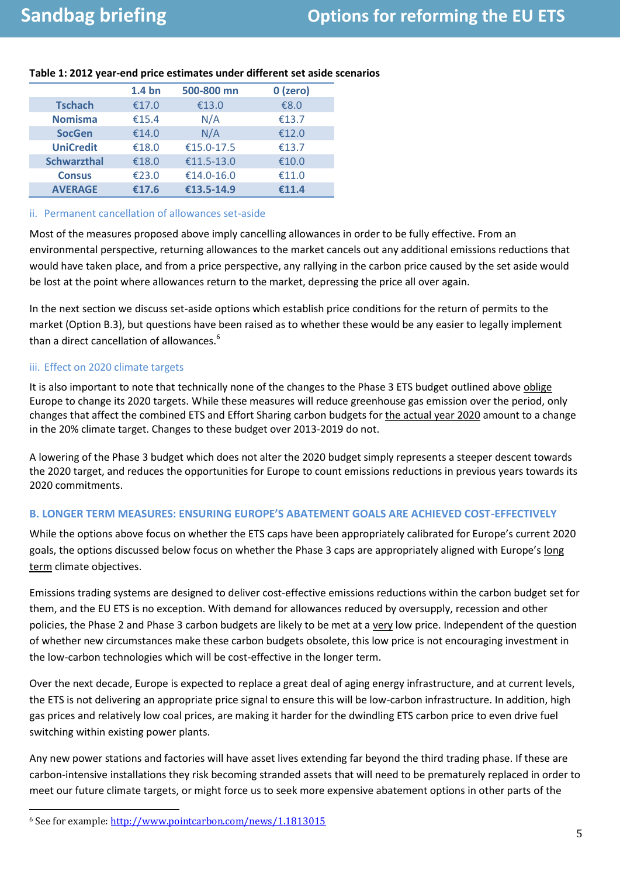|                    | 1.4 <sub>bn</sub> | 500-800 mn | 0 (zero) |
|--------------------|-------------------|------------|----------|
| <b>Tschach</b>     | €17.0             | €13.0      | €8.0     |
| <b>Nomisma</b>     | €15.4             | N/A        | €13.7    |
| <b>SocGen</b>      | €14.0             | N/A        | €12.0    |
| <b>UniCredit</b>   | €18.0             | €15.0-17.5 | €13.7    |
| <b>Schwarzthal</b> | €18.0             | €11.5-13.0 | €10.0    |
| <b>Consus</b>      | €23.0             | €14.0-16.0 | €11.0    |
| <b>AVERAGE</b>     | €17.6             | €13.5-14.9 | £11.4    |

### **Table 1: 2012 year-end price estimates under different set aside scenarios**

#### ii. Permanent cancellation of allowances set-aside

Most of the measures proposed above imply cancelling allowances in order to be fully effective. From an environmental perspective, returning allowances to the market cancels out any additional emissions reductions that would have taken place, and from a price perspective, any rallying in the carbon price caused by the set aside would be lost at the point where allowances return to the market, depressing the price all over again.

In the next section we discuss set-aside options which establish price conditions for the return of permits to the market (Option B.3), but questions have been raised as to whether these would be any easier to legally implement than a direct cancellation of allowances.<sup>6</sup>

#### iii. Effect on 2020 climate targets

It is also important to note that technically none of the changes to the Phase 3 ETS budget outlined above oblige Europe to change its 2020 targets. While these measures will reduce greenhouse gas emission over the period, only changes that affect the combined ETS and Effort Sharing carbon budgets for the actual year 2020 amount to a change in the 20% climate target. Changes to these budget over 2013-2019 do not.

A lowering of the Phase 3 budget which does not alter the 2020 budget simply represents a steeper descent towards the 2020 target, and reduces the opportunities for Europe to count emissions reductions in previous years towards its 2020 commitments.

#### **B. LONGER TERM MEASURES: ENSURING EUROPE'S ABATEMENT GOALS ARE ACHIEVED COST-EFFECTIVELY**

While the options above focus on whether the ETS caps have been appropriately calibrated for Europe's current 2020 goals, the options discussed below focus on whether the Phase 3 caps are appropriately aligned with Europe's long term climate objectives.

Emissions trading systems are designed to deliver cost-effective emissions reductions within the carbon budget set for them, and the EU ETS is no exception. With demand for allowances reduced by oversupply, recession and other policies, the Phase 2 and Phase 3 carbon budgets are likely to be met at a very low price. Independent of the question of whether new circumstances make these carbon budgets obsolete, this low price is not encouraging investment in the low-carbon technologies which will be cost-effective in the longer term.

Over the next decade, Europe is expected to replace a great deal of aging energy infrastructure, and at current levels, the ETS is not delivering an appropriate price signal to ensure this will be low-carbon infrastructure. In addition, high gas prices and relatively low coal prices, are making it harder for the dwindling ETS carbon price to even drive fuel switching within existing power plants.

Any new power stations and factories will have asset lives extending far beyond the third trading phase. If these are carbon-intensive installations they risk becoming stranded assets that will need to be prematurely replaced in order to meet our future climate targets, or might force us to seek more expensive abatement options in other parts of the

l

<sup>6</sup> See for example[: http://www.pointcarbon.com/news/1.1813015](http://www.pointcarbon.com/news/1.1813015)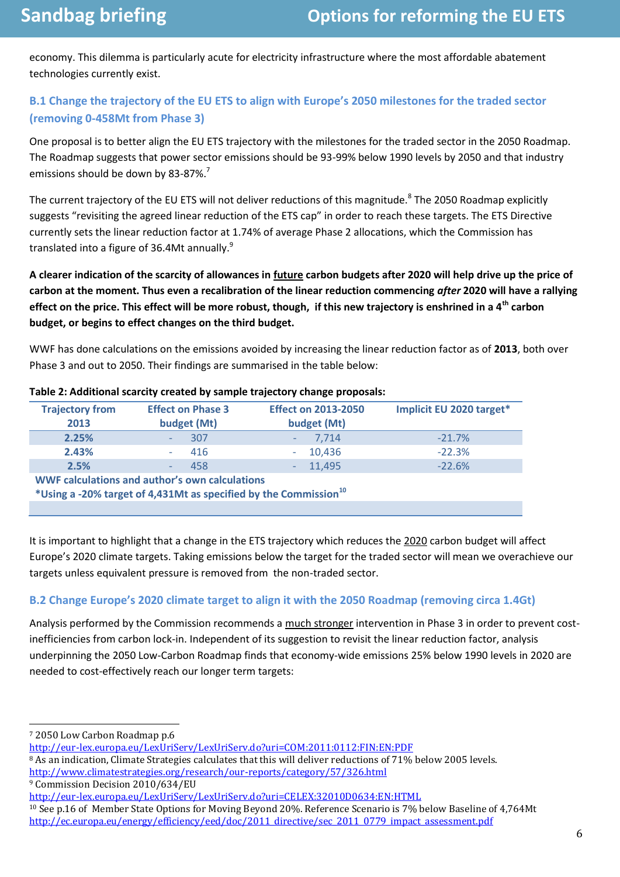economy. This dilemma is particularly acute for electricity infrastructure where the most affordable abatement technologies currently exist.

## **B.1 Change the trajectory of the EU ETS to align with Europe's 2050 milestones for the traded sector (removing 0-458Mt from Phase 3)**

One proposal is to better align the EU ETS trajectory with the milestones for the traded sector in the 2050 Roadmap. The Roadmap suggests that power sector emissions should be 93-99% below 1990 levels by 2050 and that industry emissions should be down by 83-87%.<sup>7</sup>

The current trajectory of the EU ETS will not deliver reductions of this magnitude.<sup>8</sup> The 2050 Roadmap explicitly suggests "revisiting the agreed linear reduction of the ETS cap" in order to reach these targets. The ETS Directive currently sets the linear reduction factor at 1.74% of average Phase 2 allocations, which the Commission has translated into a figure of 36.4Mt annually.<sup>9</sup>

**A clearer indication of the scarcity of allowances in future carbon budgets after 2020 will help drive up the price of carbon at the moment. Thus even a recalibration of the linear reduction commencing** *after* **2020 will have a rallying effect on the price. This effect will be more robust, though, if this new trajectory is enshrined in a 4th carbon budget, or begins to effect changes on the third budget.**

WWF has done calculations on the emissions avoided by increasing the linear reduction factor as of **2013**, both over Phase 3 and out to 2050. Their findings are summarised in the table below:

| $\frac{1}{2}$ and $\frac{1}{2}$ and $\frac{1}{2}$ and $\frac{1}{2}$ and $\frac{1}{2}$ and $\frac{1}{2}$ and $\frac{1}{2}$ and $\frac{1}{2}$ and $\frac{1}{2}$ and $\frac{1}{2}$ and $\frac{1}{2}$ and $\frac{1}{2}$ and $\frac{1}{2}$ and $\frac{1}{2}$ and $\frac{1}{2}$ and $\frac{1}{2}$ a |                                         |                                           |                          |  |  |
|-----------------------------------------------------------------------------------------------------------------------------------------------------------------------------------------------------------------------------------------------------------------------------------------------|-----------------------------------------|-------------------------------------------|--------------------------|--|--|
| <b>Trajectory from</b><br>2013                                                                                                                                                                                                                                                                | <b>Effect on Phase 3</b><br>budget (Mt) | <b>Effect on 2013-2050</b><br>budget (Mt) | Implicit EU 2020 target* |  |  |
| 2.25%                                                                                                                                                                                                                                                                                         | 307                                     | 7,714                                     | $-21.7%$                 |  |  |
| 2.43%                                                                                                                                                                                                                                                                                         | 416<br>$\overline{\phantom{a}}$         | 10,436<br>$\sim$                          | $-22.3%$                 |  |  |
| 2.5%                                                                                                                                                                                                                                                                                          | 458<br>$\overline{\phantom{a}}$         | 11,495<br>$\sim$                          | $-22.6%$                 |  |  |
| WWF calculations and author's own calculations                                                                                                                                                                                                                                                |                                         |                                           |                          |  |  |
| *Using a -20% target of 4,431Mt as specified by the Commission <sup>10</sup>                                                                                                                                                                                                                  |                                         |                                           |                          |  |  |
|                                                                                                                                                                                                                                                                                               |                                         |                                           |                          |  |  |

#### **Table 2: Additional scarcity created by sample trajectory change proposals:**

It is important to highlight that a change in the ETS trajectory which reduces the 2020 carbon budget will affect Europe's 2020 climate targets. Taking emissions below the target for the traded sector will mean we overachieve our targets unless equivalent pressure is removed from the non-traded sector.

## **B.2 Change Europe's 2020 climate target to align it with the 2050 Roadmap (removing circa 1.4Gt)**

Analysis performed by the Commission recommends a much stronger intervention in Phase 3 in order to prevent costinefficiencies from carbon lock-in. Independent of its suggestion to revisit the linear reduction factor, analysis underpinning the 2050 Low-Carbon Roadmap finds that economy-wide emissions 25% below 1990 levels in 2020 are needed to cost-effectively reach our longer term targets:

 $\overline{a}$ 

<sup>7</sup> 2050 Low Carbon Roadmap p.6

<http://eur-lex.europa.eu/LexUriServ/LexUriServ.do?uri=COM:2011:0112:FIN:EN:PDF>

<sup>8</sup> As an indication, Climate Strategies calculates that this will deliver reductions of 71% below 2005 levels.

<http://www.climatestrategies.org/research/our-reports/category/57/326.html>

<sup>9</sup> Commission Decision 2010/634/EU

<http://eur-lex.europa.eu/LexUriServ/LexUriServ.do?uri=CELEX:32010D0634:EN:HTML>

<sup>10</sup> See p.16 of Member State Options for Moving Beyond 20%. Reference Scenario is 7% below Baseline of 4,764Mt [http://ec.europa.eu/energy/efficiency/eed/doc/2011\\_directive/sec\\_2011\\_0779\\_impact\\_assessment.pdf](http://ec.europa.eu/energy/efficiency/eed/doc/2011_directive/sec_2011_0779_impact_assessment.pdf)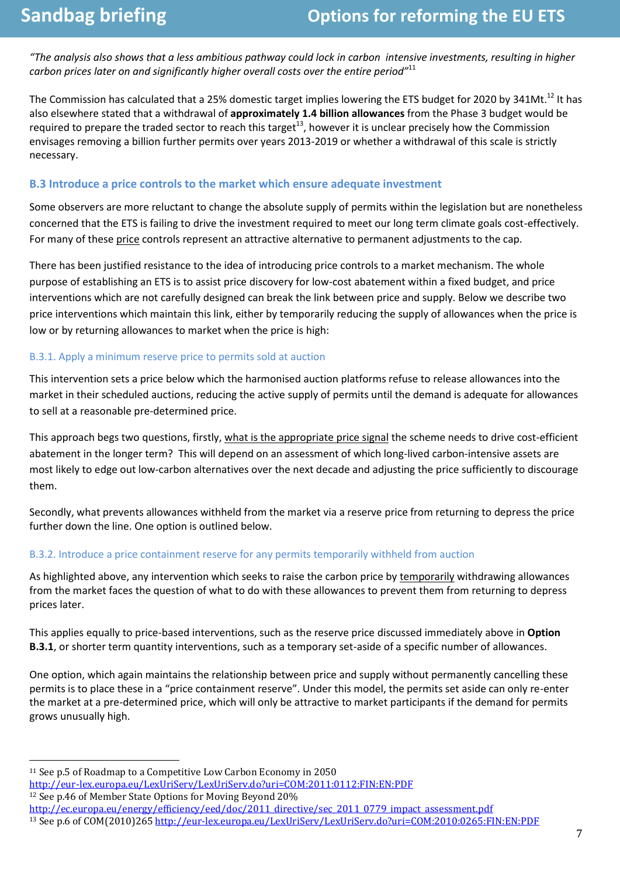*"The analysis also shows that a less ambitious pathway could lock in carbon intensive investments, resulting in higher carbon prices later on and significantly higher overall costs over the entire period"*<sup>11</sup>

The Commission has calculated that a 25% domestic target implies lowering the ETS budget for 2020 by 341Mt.<sup>12</sup> It has also elsewhere stated that a withdrawal of **approximately 1.4 billion allowances** from the Phase 3 budget would be required to prepare the traded sector to reach this target<sup>13</sup>, however it is unclear precisely how the Commission envisages removing a billion further permits over years 2013-2019 or whether a withdrawal of this scale is strictly necessary.

#### **B.3 Introduce a price controls to the market which ensure adequate investment**

Some observers are more reluctant to change the absolute supply of permits within the legislation but are nonetheless concerned that the ETS is failing to drive the investment required to meet our long term climate goals cost-effectively. For many of these price controls represent an attractive alternative to permanent adjustments to the cap.

There has been justified resistance to the idea of introducing price controls to a market mechanism. The whole purpose of establishing an ETS is to assist price discovery for low-cost abatement within a fixed budget, and price interventions which are not carefully designed can break the link between price and supply. Below we describe two price interventions which maintain this link, either by temporarily reducing the supply of allowances when the price is low or by returning allowances to market when the price is high:

#### B.3.1. Apply a minimum reserve price to permits sold at auction

This intervention sets a price below which the harmonised auction platforms refuse to release allowances into the market in their scheduled auctions, reducing the active supply of permits until the demand is adequate for allowances to sell at a reasonable pre-determined price.

This approach begs two questions, firstly, what is the appropriate price signal the scheme needs to drive cost-efficient abatement in the longer term? This will depend on an assessment of which long-lived carbon-intensive assets are most likely to edge out low-carbon alternatives over the next decade and adjusting the price sufficiently to discourage them.

Secondly, what prevents allowances withheld from the market via a reserve price from returning to depress the price further down the line. One option is outlined below.

#### B.3.2. Introduce a price containment reserve for any permits temporarily withheld from auction

As highlighted above, any intervention which seeks to raise the carbon price by temporarily withdrawing allowances from the market faces the question of what to do with these allowances to prevent them from returning to depress prices later.

This applies equally to price-based interventions, such as the reserve price discussed immediately above in **Option B.3.1**, or shorter term quantity interventions, such as a temporary set-aside of a specific number of allowances.

One option, which again maintains the relationship between price and supply without permanently cancelling these permits is to place these in a "price containment reserve". Under this model, the permits set aside can only re-enter the market at a pre-determined price, which will only be attractive to market participants if the demand for permits grows unusually high.

l

<sup>11</sup> See p.5 of Roadmap to a Competitive Low Carbon Economy in 2050

<http://eur-lex.europa.eu/LexUriServ/LexUriServ.do?uri=COM:2011:0112:FIN:EN:PDF>

<sup>12</sup> See p.46 of Member State Options for Moving Beyond 20%

[http://ec.europa.eu/energy/efficiency/eed/doc/2011\\_directive/sec\\_2011\\_0779\\_impact\\_assessment.pdf](http://ec.europa.eu/energy/efficiency/eed/doc/2011_directive/sec_2011_0779_impact_assessment.pdf) <sup>13</sup> See p.6 of COM(2010)26[5 http://eur-lex.europa.eu/LexUriServ/LexUriServ.do?uri=COM:2010:0265:FIN:EN:PDF](http://eur-lex.europa.eu/LexUriServ/LexUriServ.do?uri=COM:2010:0265:FIN:EN:PDF)